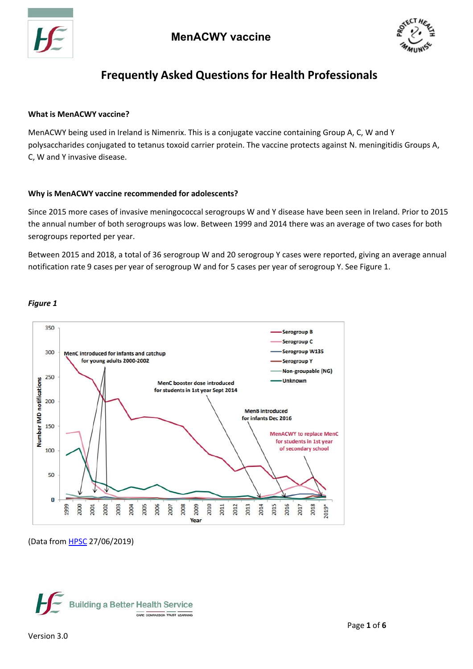



# **Frequently Asked Questions for Health Professionals**

## **What is MenACWY vaccine?**

MenACWY being used in Ireland is Nimenrix. This is a conjugate vaccine containing Group A, C, W and Y polysaccharides conjugated to tetanus toxoid carrier protein. The vaccine protects against N. meningitidis Groups A, C, W and Y invasive disease.

## **Why is MenACWY vaccine recommended for adolescents?**

Since 2015 more cases of invasive meningococcal serogroups W and Y disease have been seen in Ireland. Prior to 2015 the annual number of both serogroups was low. Between 1999 and 2014 there was an average of two cases for both serogroups reported per year.

Between 2015 and 2018, a total of 36 serogroup W and 20 serogroup Y cases were reported, giving an average annual notification rate 9 cases per year of serogroup W and for 5 cases per year of serogroup Y. See Figure 1.

## *Figure 1*



<sup>(</sup>Data from HPSC 27/06/2019)

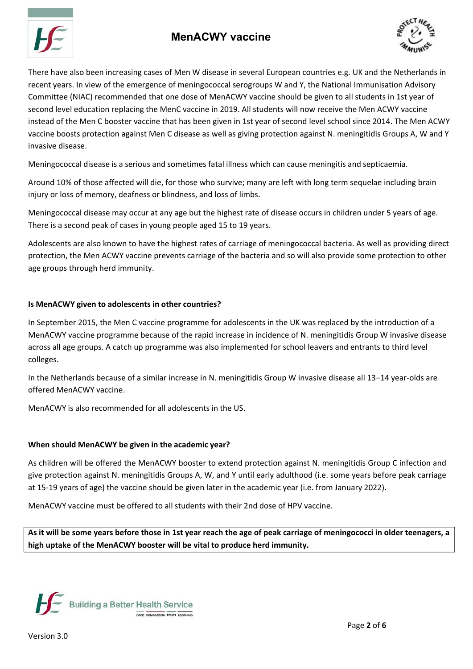# **MenACWY vaccine**





There have also been increasing cases of Men W disease in several European countries e.g. UK and the Netherlands in recent years. In view of the emergence of meningococcal serogroups W and Y, the National Immunisation Advisory Committee (NIAC) recommended that one dose of MenACWY vaccine should be given to all students in 1st year of second level education replacing the MenC vaccine in 2019. All students will now receive the Men ACWY vaccine instead of the Men C booster vaccine that has been given in 1st year of second level school since 2014. The Men ACWY vaccine boosts protection against Men C disease as well as giving protection against N. meningitidis Groups A, W and Y invasive disease.

Meningococcal disease is a serious and sometimes fatal illness which can cause meningitis and septicaemia.

Around 10% of those affected will die, for those who survive; many are left with long term sequelae including brain injury or loss of memory, deafness or blindness, and loss of limbs.

Meningococcal disease may occur at any age but the highest rate of disease occurs in children under 5 years of age. There is a second peak of cases in young people aged 15 to 19 years.

Adolescents are also known to have the highest rates of carriage of meningococcal bacteria. As well as providing direct protection, the Men ACWY vaccine prevents carriage of the bacteria and so will also provide some protection to other age groups through herd immunity.

## **Is MenACWY given to adolescents in other countries?**

In September 2015, the Men C vaccine programme for adolescents in the UK was replaced by the introduction of a MenACWY vaccine programme because of the rapid increase in incidence of N. meningitidis Group W invasive disease across all age groups. A catch up programme was also implemented for school leavers and entrants to third level colleges.

In the Netherlands because of a similar increase in N. meningitidis Group W invasive disease all 13–14 year‐olds are offered MenACWY vaccine.

MenACWY is also recommended for all adolescents in the US.

## **When should MenACWY be given in the academic year?**

As children will be offered the MenACWY booster to extend protection against N. meningitidis Group C infection and give protection against N. meningitidis Groups A, W, and Y until early adulthood (i.e. some years before peak carriage at 15‐19 years of age) the vaccine should be given later in the academic year (i.e. from January 2022).

MenACWY vaccine must be offered to all students with their 2nd dose of HPV vaccine.

As it will be some years before those in 1st year reach the age of peak carriage of meningococci in older teenagers, a **high uptake of the MenACWY booster will be vital to produce herd immunity.**

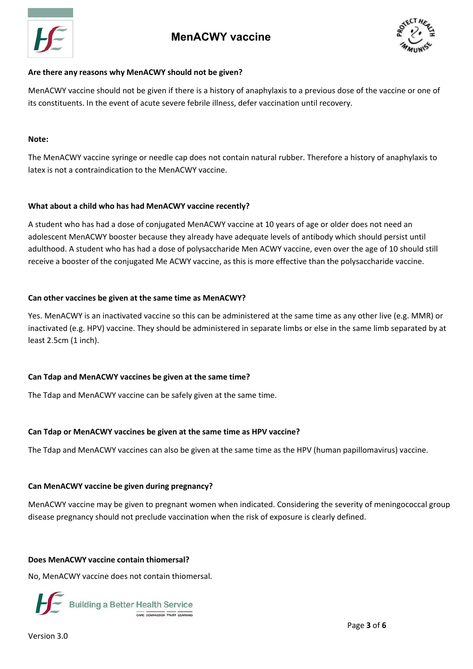



## **Are there any reasons why MenACWY should not be given?**

MenACWY vaccine should not be given if there is a history of anaphylaxis to a previous dose of the vaccine or one of its constituents. In the event of acute severe febrile illness, defer vaccination until recovery.

#### **Note:**

The MenACWY vaccine syringe or needle cap does not contain natural rubber. Therefore a history of anaphylaxis to latex is not a contraindication to the MenACWY vaccine.

## **What about a child who has had MenACWY vaccine recently?**

A student who has had a dose of conjugated MenACWY vaccine at 10 years of age or older does not need an adolescent MenACWY booster because they already have adequate levels of antibody which should persist until adulthood. A student who has had a dose of polysaccharide Men ACWY vaccine, even over the age of 10 should still receive a booster of the conjugated Me ACWY vaccine, as this is more effective than the polysaccharide vaccine.

## **Can other vaccines be given at the same time as MenACWY?**

Yes. MenACWY is an inactivated vaccine so this can be administered at the same time as any other live (e.g. MMR) or inactivated (e.g. HPV) vaccine. They should be administered in separate limbs or else in the same limb separated by at least 2.5cm (1 inch).

## **Can Tdap and MenACWY vaccines be given at the same time?**

The Tdap and MenACWY vaccine can be safely given at the same time.

## **Can Tdap or MenACWY vaccines be given at the same time as HPV vaccine?**

The Tdap and MenACWY vaccines can also be given at the same time as the HPV (human papillomavirus) vaccine.

## **Can MenACWY vaccine be given during pregnancy?**

MenACWY vaccine may be given to pregnant women when indicated. Considering the severity of meningococcal group disease pregnancy should not preclude vaccination when the risk of exposure is clearly defined.

## **Does MenACWY vaccine contain thiomersal?**

No, MenACWY vaccine does not contain thiomersal.



Version 3.0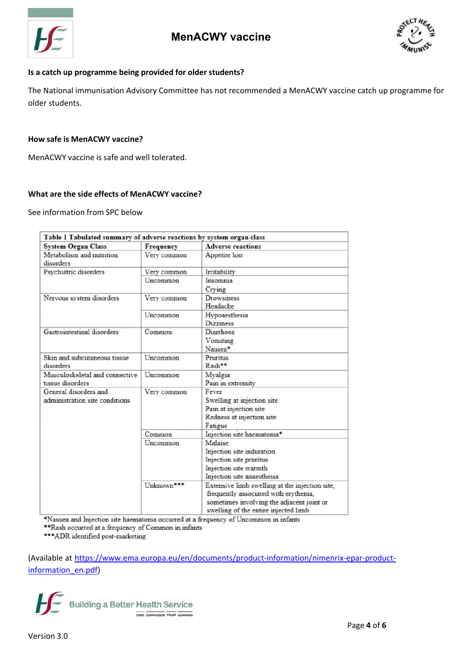



## **Is a catch up programme being provided for older students?**

The National immunisation Advisory Committee has not recommended a MenACWY vaccine catch up programme for older students.

#### **How safe is MenACWY vaccine?**

MenACWY vaccine is safe and well tolerated.

## **What are the side effects of MenACWY vaccine?**

See information from SPC below

| Table 1 Tabulated summary of adverse reactions by system organ class |                  |                                                                                                                                                                             |
|----------------------------------------------------------------------|------------------|-----------------------------------------------------------------------------------------------------------------------------------------------------------------------------|
| <b>System Organ Class</b>                                            | <b>Frequency</b> | <b>Adverse reactions</b>                                                                                                                                                    |
| Metabolism and nutrition<br>disorders                                | Very common      | Appetite lost                                                                                                                                                               |
| Psychiatric disorders                                                | Very common      | Irritability                                                                                                                                                                |
|                                                                      | Uncommon         | Insomnia<br>Crving                                                                                                                                                          |
| Nervous system disorders                                             | Very common      | <b>Drowsiness</b><br>Headache                                                                                                                                               |
|                                                                      | Uncommon         | Hypoaesthesia<br><b>Dizziness</b>                                                                                                                                           |
| <b>Gastrointestinal disorders</b>                                    | Common           | Diarrhoea<br>Vomiting<br>Nausea*                                                                                                                                            |
| Skin and subcutaneous tissue<br>disorders                            | Uncommon         | Pruritus<br>Rash**                                                                                                                                                          |
| Musculoskeletal and connective<br>tissue disorders                   | Uncommon         | Myalgia<br>Pain in extremity                                                                                                                                                |
| General disorders and<br>administration site conditions              | Very common      | Fever<br>Swelling at injection site<br>Pain at injection site<br>Redness at injection site<br>Fatigue                                                                       |
|                                                                      | Common           | Injection site haematoma*                                                                                                                                                   |
|                                                                      | Uncommon         | Malaise<br>Injection site induration<br>Injection site pruritus<br>Injection site warmth<br>Injection site anaesthesia                                                      |
|                                                                      | Unknown***       | Extensive limb swelling at the injection site,<br>frequently associated with erythema,<br>sometimes involving the adjacent joint or<br>swelling of the entire injected limb |

\*Nausea and Injection site haematoma occurred at a frequency of Uncommon in infants

\*\*Rash occurred at a frequency of Common in infants

\*\*\* ADR identified post-marketing

(Available at https://www.ema.europa.eu/en/documents/product‐information/nimenrix‐epar‐product‐ information\_en.pdf)

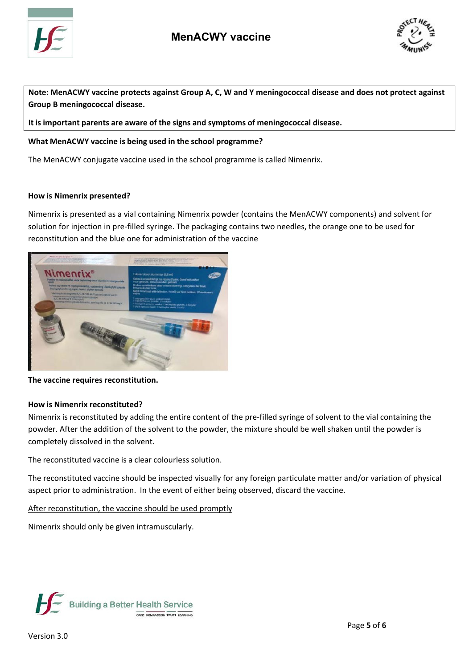



Note: MenACWY vaccine protects against Group A, C, W and Y meningococcal disease and does not protect against **Group B meningococcal disease.**

**It is important parents are aware of the signs and symptoms of meningococcal disease.**

## **What MenACWY vaccine is being used in the school programme?**

The MenACWY conjugate vaccine used in the school programme is called Nimenrix.

## **How is Nimenrix presented?**

Nimenrix is presented as a vial containing Nimenrix powder (contains the MenACWY components) and solvent for solution for injection in pre‐filled syringe. The packaging contains two needles, the orange one to be used for reconstitution and the blue one for administration of the vaccine



**The vaccine requires reconstitution.**

## **How is Nimenrix reconstituted?**

Nimenrix is reconstituted by adding the entire content of the pre‐filled syringe of solvent to the vial containing the powder. After the addition of the solvent to the powder, the mixture should be well shaken until the powder is completely dissolved in the solvent.

The reconstituted vaccine is a clear colourless solution.

The reconstituted vaccine should be inspected visually for any foreign particulate matter and/or variation of physical aspect prior to administration. In the event of either being observed, discard the vaccine.

After reconstitution, the vaccine should be used promptly

Nimenrix should only be given intramuscularly.